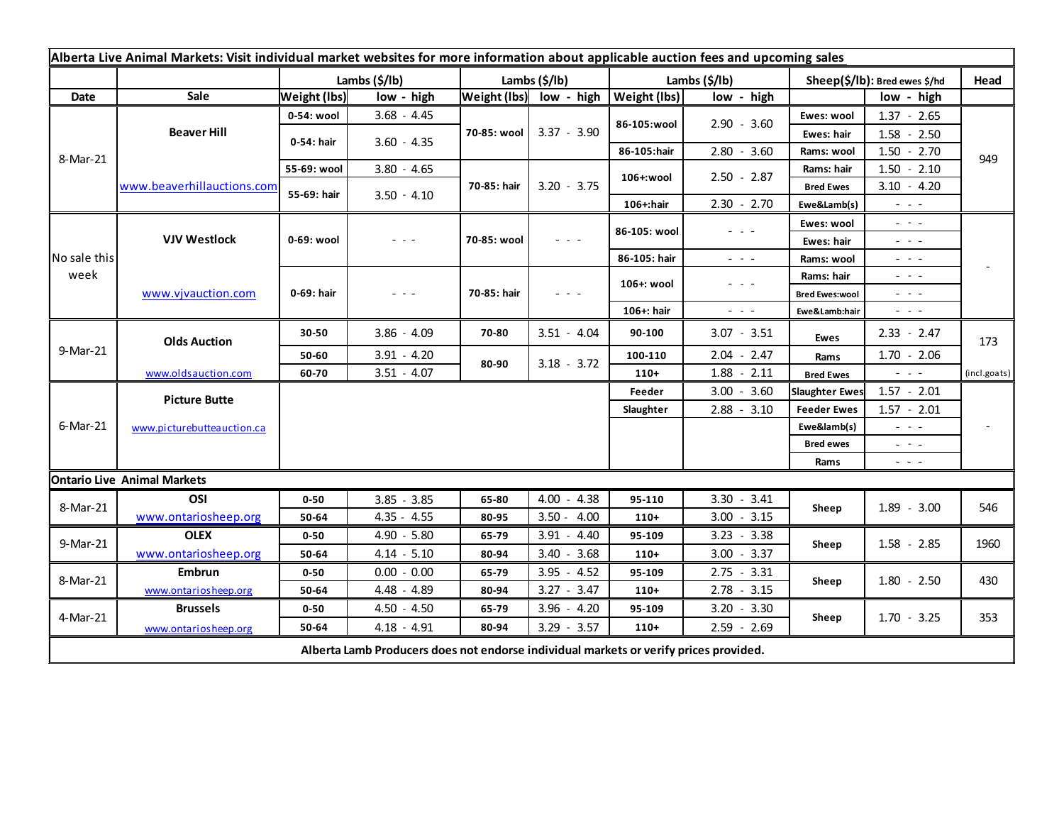| Alberta Live Animal Markets: Visit individual market websites for more information about applicable auction fees and upcoming sales |                                    |                     |               |                       |                                                                                                                        |               |                                                                                                                           |                                                                                                                                            |                                                                                                                        |              |
|-------------------------------------------------------------------------------------------------------------------------------------|------------------------------------|---------------------|---------------|-----------------------|------------------------------------------------------------------------------------------------------------------------|---------------|---------------------------------------------------------------------------------------------------------------------------|--------------------------------------------------------------------------------------------------------------------------------------------|------------------------------------------------------------------------------------------------------------------------|--------------|
|                                                                                                                                     |                                    | Lambs (\$/lb)       |               | Lambs $(\frac{2}{3})$ |                                                                                                                        | Lambs (\$/lb) |                                                                                                                           | Sheep(\$/lb): Bred ewes \$/hd                                                                                                              |                                                                                                                        | Head         |
| Date                                                                                                                                | Sale                               | <b>Weight (lbs)</b> | low - high    |                       | Weight (lbs) low - high                                                                                                | Weight (lbs)  | low - high                                                                                                                |                                                                                                                                            | low - high                                                                                                             |              |
| 8-Mar-21                                                                                                                            | <b>Beaver Hill</b>                 | 0-54: wool          | $3.68 - 4.45$ | 70-85: wool           | $3.37 - 3.90$                                                                                                          | 86-105:wool   | $2.90 - 3.60$                                                                                                             | Ewes: wool                                                                                                                                 | $1.37 - 2.65$                                                                                                          |              |
|                                                                                                                                     |                                    | 0-54: hair          | $3.60 - 4.35$ |                       |                                                                                                                        |               |                                                                                                                           | Ewes: hair                                                                                                                                 | $1.58 - 2.50$                                                                                                          |              |
|                                                                                                                                     |                                    |                     |               |                       |                                                                                                                        | 86-105:hair   | $2.80 - 3.60$                                                                                                             | Rams: wool                                                                                                                                 | $1.50 - 2.70$                                                                                                          | 949          |
|                                                                                                                                     | www.beaverhillauctions.com         | 55-69: wool         | $3.80 - 4.65$ | 70-85: hair           | $3.20 - 3.75$                                                                                                          | 106+:wool     | $2.50 - 2.87$                                                                                                             | Rams: hair                                                                                                                                 | $1.50 - 2.10$                                                                                                          |              |
|                                                                                                                                     |                                    | 55-69: hair         | $3.50 - 4.10$ |                       |                                                                                                                        |               |                                                                                                                           | <b>Bred Ewes</b>                                                                                                                           | $3.10 - 4.20$                                                                                                          |              |
|                                                                                                                                     |                                    |                     |               |                       |                                                                                                                        | 106+:hair     | $2.30 - 2.70$                                                                                                             | Ewe&Lamb(s)                                                                                                                                | $\frac{1}{2} \left( \frac{1}{2} \right) \frac{1}{2} \left( \frac{1}{2} \right) \frac{1}{2} \left( \frac{1}{2} \right)$ |              |
| No sale this<br>week                                                                                                                | <b>VJV Westlock</b>                | 0-69: wool          | - - -         | 70-85: wool           | $\frac{1}{2} \left( \frac{1}{2} \right) \frac{1}{2} \left( \frac{1}{2} \right) \frac{1}{2} \left( \frac{1}{2} \right)$ | 86-105: wool  | $  -$                                                                                                                     | Ewes: wool                                                                                                                                 | $\omega_{\rm c} \sim \omega_{\rm c}$                                                                                   |              |
|                                                                                                                                     |                                    |                     |               |                       |                                                                                                                        |               |                                                                                                                           | Ewes: hair                                                                                                                                 | $\frac{1}{2} \left( \frac{1}{2} \right) = \frac{1}{2} \left( \frac{1}{2} \right)$                                      |              |
|                                                                                                                                     |                                    |                     |               |                       |                                                                                                                        | 86-105: hair  | $\sim$ $\sim$ $\sim$                                                                                                      | Rams: wool                                                                                                                                 | $  -$                                                                                                                  |              |
|                                                                                                                                     | www.vjvauction.com                 | 0-69: hair          | - - -         | 70-85: hair           | $  -$                                                                                                                  | 106+: wool    | $\frac{1}{2} \left( \frac{1}{2} \right) \left( \frac{1}{2} \right) \left( \frac{1}{2} \right) \left( \frac{1}{2} \right)$ | Rams: hair                                                                                                                                 | $\omega_{\rm{eff}}$ and $\omega_{\rm{eff}}$                                                                            |              |
|                                                                                                                                     |                                    |                     |               |                       |                                                                                                                        |               |                                                                                                                           | <b>Bred Ewes:wool</b>                                                                                                                      | $  -$                                                                                                                  |              |
|                                                                                                                                     |                                    |                     |               |                       |                                                                                                                        | 106+: hair    | $ -$                                                                                                                      | Ewe&Lamb:hair                                                                                                                              | $\frac{1}{2} \left( \frac{1}{2} \right) \frac{1}{2} \left( \frac{1}{2} \right) \frac{1}{2} \left( \frac{1}{2} \right)$ |              |
| 9-Mar-21                                                                                                                            | <b>Olds Auction</b>                | 30-50               | $3.86 - 4.09$ | 70-80                 | $3.51 - 4.04$                                                                                                          | 90-100        | $3.07 - 3.51$                                                                                                             | Ewes                                                                                                                                       | $2.33 - 2.47$                                                                                                          | 173          |
|                                                                                                                                     |                                    | 50-60               | $3.91 - 4.20$ | 80-90                 | $3.18 - 3.72$                                                                                                          | 100-110       | $2.04 - 2.47$                                                                                                             | Rams                                                                                                                                       | $1.70 - 2.06$                                                                                                          |              |
|                                                                                                                                     | www.oldsauction.com                | 60-70               | $3.51 - 4.07$ |                       |                                                                                                                        | $110+$        | $1.88 - 2.11$                                                                                                             | <b>Bred Ewes</b>                                                                                                                           | $\frac{1}{2} \left( \frac{1}{2} \right) \left( \frac{1}{2} \right) \left( \frac{1}{2} \right)$                         | (incl.goats) |
| 6-Mar-21                                                                                                                            | <b>Picture Butte</b>               |                     |               |                       |                                                                                                                        | Feeder        | $3.00 - 3.60$                                                                                                             | <b>Slaughter Ewes</b>                                                                                                                      | $1.57 - 2.01$                                                                                                          |              |
|                                                                                                                                     | www.picturebutteauction.ca         |                     |               |                       |                                                                                                                        | Slaughter     | $2.88 - 3.10$                                                                                                             | <b>Feeder Ewes</b>                                                                                                                         | $1.57 - 2.01$                                                                                                          |              |
|                                                                                                                                     |                                    |                     |               |                       |                                                                                                                        |               |                                                                                                                           | Ewe&lamb(s)                                                                                                                                | $\omega_{\rm{c}}$ , $\omega_{\rm{c}}$ , $\omega_{\rm{c}}$                                                              |              |
|                                                                                                                                     |                                    |                     |               |                       |                                                                                                                        |               |                                                                                                                           | <b>Bred ewes</b><br>$\frac{1}{2} \left( \frac{1}{2} \right) \frac{1}{2} \left( \frac{1}{2} \right) \frac{1}{2} \left( \frac{1}{2} \right)$ |                                                                                                                        |              |
|                                                                                                                                     |                                    |                     |               |                       |                                                                                                                        |               |                                                                                                                           | Rams                                                                                                                                       | $\frac{1}{2} \left( \frac{1}{2} \right) \frac{1}{2} \left( \frac{1}{2} \right) \frac{1}{2} \left( \frac{1}{2} \right)$ |              |
|                                                                                                                                     | <b>Ontario Live Animal Markets</b> |                     |               |                       |                                                                                                                        |               |                                                                                                                           |                                                                                                                                            |                                                                                                                        |              |
| 8-Mar-21                                                                                                                            | OSI                                | $0 - 50$            | $3.85 - 3.85$ | 65-80                 | $4.00 - 4.38$                                                                                                          | 95-110        | $3.30 - 3.41$                                                                                                             | Sheep                                                                                                                                      | $1.89 - 3.00$                                                                                                          | 546          |
|                                                                                                                                     | www.ontariosheep.org               | 50-64               | $4.35 - 4.55$ | 80-95                 | $3.50 - 4.00$                                                                                                          | $110+$        | $3.00 - 3.15$                                                                                                             |                                                                                                                                            |                                                                                                                        |              |
| 9-Mar-21                                                                                                                            | <b>OLEX</b>                        | $0 - 50$            | $4.90 - 5.80$ | 65-79                 | $3.91 - 4.40$                                                                                                          | 95-109        | $3.23 - 3.38$                                                                                                             | Sheep                                                                                                                                      | $1.58 - 2.85$                                                                                                          | 1960         |
|                                                                                                                                     | www.ontariosheep.org               | 50-64               | $4.14 - 5.10$ | 80-94                 | $3.40 - 3.68$                                                                                                          | $110+$        | $3.00 - 3.37$                                                                                                             |                                                                                                                                            |                                                                                                                        |              |
| 8-Mar-21                                                                                                                            | Embrun                             | $0 - 50$            | $0.00 - 0.00$ | 65-79                 | $3.95 - 4.52$                                                                                                          | 95-109        | $2.75 - 3.31$                                                                                                             | Sheep                                                                                                                                      | $1.80 - 2.50$                                                                                                          | 430          |
|                                                                                                                                     | www.ontariosheep.org               | 50-64               | 4.48 - 4.89   | 80-94                 | $3.27 - 3.47$                                                                                                          | $110+$        | $2.78 - 3.15$                                                                                                             |                                                                                                                                            |                                                                                                                        |              |
| 4-Mar-21                                                                                                                            | <b>Brussels</b>                    | $0 - 50$            | $4.50 - 4.50$ | 65-79                 | $3.96 - 4.20$                                                                                                          | 95-109        | $3.20 - 3.30$                                                                                                             | Sheep                                                                                                                                      | $1.70 - 3.25$                                                                                                          | 353          |
|                                                                                                                                     | www.ontariosheep.org               | 50-64               | $4.18 - 4.91$ | 80-94                 | $3.29 - 3.57$                                                                                                          | $110+$        | $2.59 - 2.69$                                                                                                             |                                                                                                                                            |                                                                                                                        |              |
| Alberta Lamb Producers does not endorse individual markets or verify prices provided.                                               |                                    |                     |               |                       |                                                                                                                        |               |                                                                                                                           |                                                                                                                                            |                                                                                                                        |              |